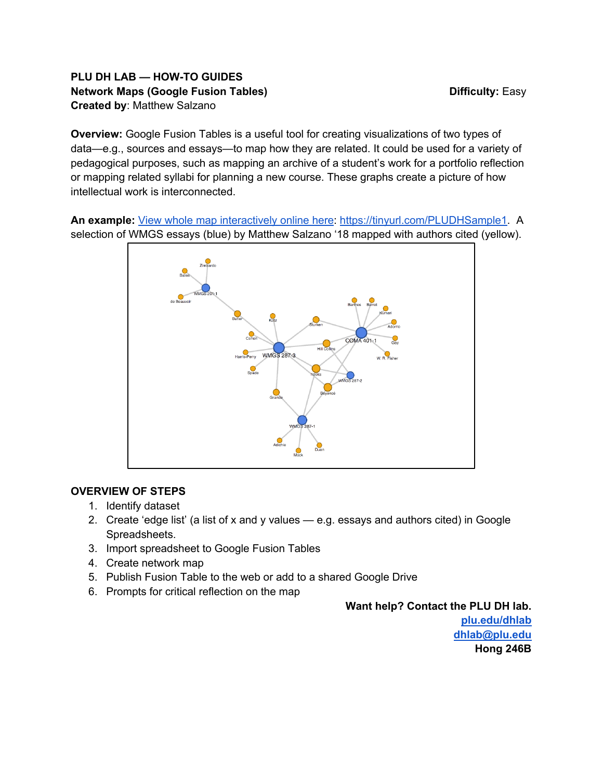# **PLU DH LAB — HOW-TO GUIDES Network Maps (Google Fusion Tables)** Network Maps (Google Fusion Tables) and Manuscription Difficulty: Easy **Created by**: Matthew Salzano

**Overview:** Google Fusion Tables is a useful tool for creating visualizations of two types of data—e.g., sources and essays—to map how they are related. It could be used for a variety of pedagogical purposes, such as mapping an archive of a student's work for a portfolio reflection or mapping related syllabi for planning a new course. These graphs create a picture of how intellectual work is interconnected.

**An example:** View whole map interactively online here: https://tinyurl.com/PLUDHSample1. A selection of WMGS essays (blue) by Matthew Salzano '18 mapped with authors cited (yellow).



# **OVERVIEW OF STEPS**

- 1. Identify dataset
- 2. Create 'edge list' (a list of x and y values  $-$  e.g. essays and authors cited) in Google Spreadsheets.
- 3. Import spreadsheet to Google Fusion Tables
- 4. Create network map
- 5. Publish Fusion Table to the web or add to a shared Google Drive
- 6. Prompts for critical reflection on the map

#### **Want help? Contact the PLU DH lab.**

**plu.edu/dhlab dhlab@plu.edu Hong 246B**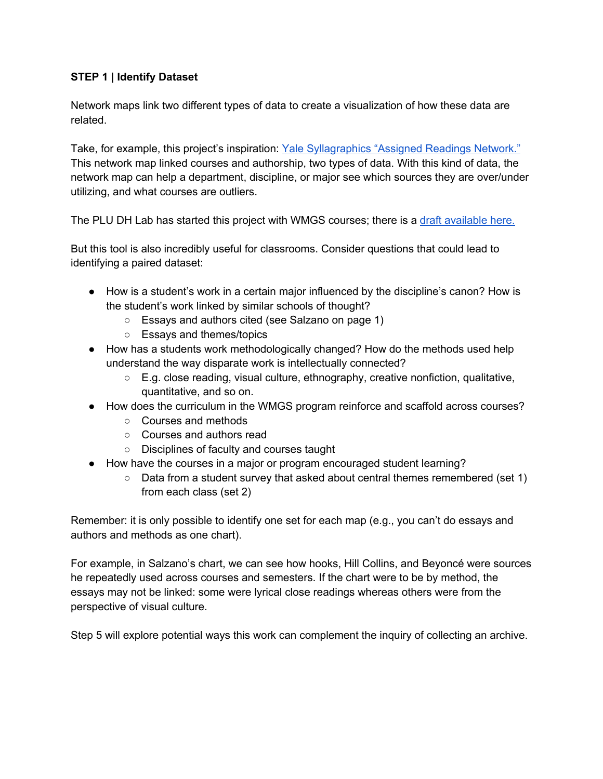## **STEP 1 | Identify Dataset**

Network maps link two different types of data to create a visualization of how these data are related.

Take, for example, this project's inspiration: Yale Syllagraphics "Assigned Readings Network." This network map linked courses and authorship, two types of data. With this kind of data, the network map can help a department, discipline, or major see which sources they are over/under utilizing, and what courses are outliers.

The PLU DH Lab has started this project with WMGS courses; there is a draft available here.

But this tool is also incredibly useful for classrooms. Consider questions that could lead to identifying a paired dataset:

- How is a student's work in a certain major influenced by the discipline's canon? How is the student's work linked by similar schools of thought?
	- Essays and authors cited (see Salzano on page 1)
	- Essays and themes/topics
- How has a students work methodologically changed? How do the methods used help understand the way disparate work is intellectually connected?
	- E.g. close reading, visual culture, ethnography, creative nonfiction, qualitative, quantitative, and so on.
- How does the curriculum in the WMGS program reinforce and scaffold across courses?
	- Courses and methods
	- Courses and authors read
	- Disciplines of faculty and courses taught
- How have the courses in a major or program encouraged student learning?
	- $\circ$  Data from a student survey that asked about central themes remembered (set 1) from each class (set 2)

Remember: it is only possible to identify one set for each map (e.g., you can't do essays and authors and methods as one chart).

For example, in Salzano's chart, we can see how hooks, Hill Collins, and Beyoncé were sources he repeatedly used across courses and semesters. If the chart were to be by method, the essays may not be linked: some were lyrical close readings whereas others were from the perspective of visual culture.

Step 5 will explore potential ways this work can complement the inquiry of collecting an archive.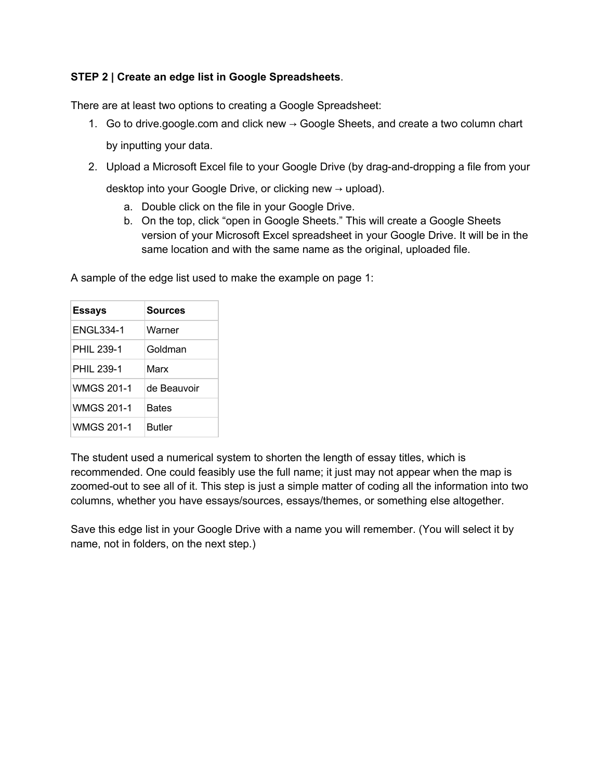# **STEP 2 | Create an edge list in Google Spreadsheets**.

There are at least two options to creating a Google Spreadsheet:

- 1. Go to drive.google.com and click new  $\rightarrow$  Google Sheets, and create a two column chart by inputting your data.
- 2. Upload a Microsoft Excel file to your Google Drive (by drag-and-dropping a file from your

desktop into your Google Drive, or clicking new → upload).

- a. Double click on the file in your Google Drive.
- b. On the top, click "open in Google Sheets." This will create a Google Sheets version of your Microsoft Excel spreadsheet in your Google Drive. It will be in the same location and with the same name as the original, uploaded file.

| <b>Essays</b>     | <b>Sources</b> |
|-------------------|----------------|
| <b>ENGL334-1</b>  | Warner         |
| PHII 239-1        | Goldman        |
| PHII 239-1        | Marx           |
| <b>WMGS 201-1</b> | de Beauvoir    |
| WMGS 201-1        | <b>Bates</b>   |
| <b>WMGS 201-1</b> | <b>Butler</b>  |

A sample of the edge list used to make the example on page 1:

The student used a numerical system to shorten the length of essay titles, which is recommended. One could feasibly use the full name; it just may not appear when the map is zoomed-out to see all of it. This step is just a simple matter of coding all the information into two columns, whether you have essays/sources, essays/themes, or something else altogether.

Save this edge list in your Google Drive with a name you will remember. (You will select it by name, not in folders, on the next step.)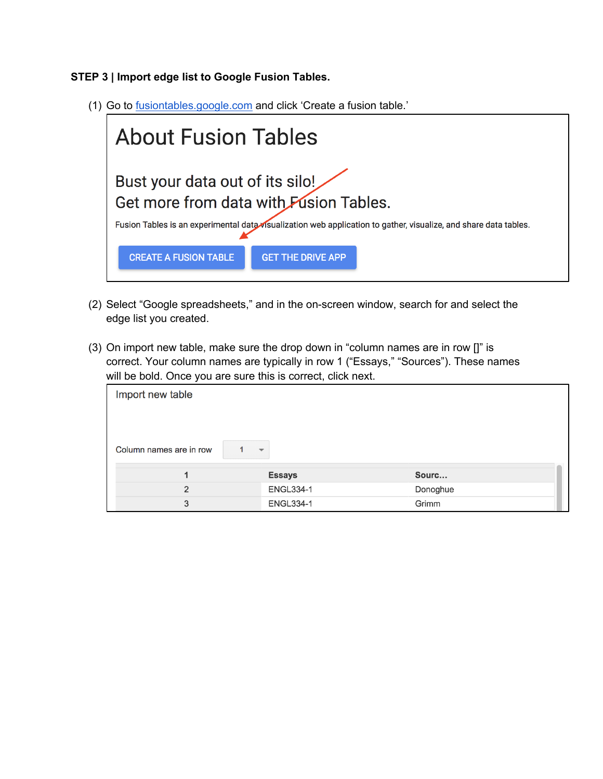**STEP 3 | Import edge list to Google Fusion Tables.** 

(1) Go to fusiontables.google.com and click 'Create a fusion table.'



- (2) Select "Google spreadsheets," and in the on-screen window, search for and select the edge list you created.
- (3) On import new table, make sure the drop down in "column names are in row []" is correct. Your column names are typically in row 1 ("Essays," "Sources"). These names will be bold. Once you are sure this is correct, click next.

| Import new table                                    |                  |          |  |  |
|-----------------------------------------------------|------------------|----------|--|--|
| Column names are in row<br>$\overline{\phantom{a}}$ |                  |          |  |  |
| 4                                                   | <b>Essays</b>    | Sourc    |  |  |
| $\overline{2}$                                      | <b>ENGL334-1</b> | Donoghue |  |  |
| 3                                                   | <b>ENGL334-1</b> | Grimm    |  |  |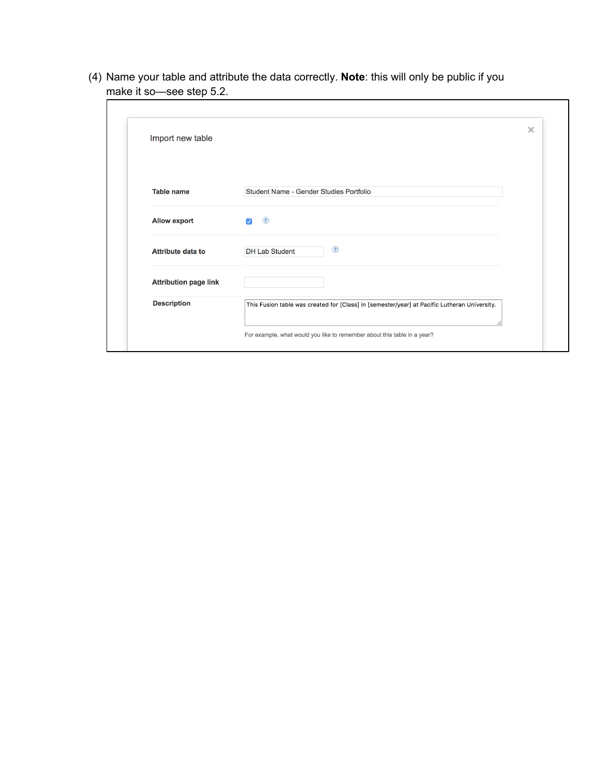(4) Name your table and attribute the data correctly. **Note**: this will only be public if you make it so—see step 5.2.

| Import new table             |                                                                                              | × |
|------------------------------|----------------------------------------------------------------------------------------------|---|
|                              |                                                                                              |   |
| <b>Table name</b>            | Student Name - Gender Studies Portfolio                                                      |   |
| <b>Allow export</b>          | $\left( 2\right)$<br>M                                                                       |   |
| <b>Attribute data to</b>     | $\circled{?}$<br><b>DH Lab Student</b>                                                       |   |
| <b>Attribution page link</b> |                                                                                              |   |
| <b>Description</b>           | This Fusion table was created for [Class] in [semester/year] at Pacific Lutheran University. |   |
|                              | For example, what would you like to remember about this table in a year?                     |   |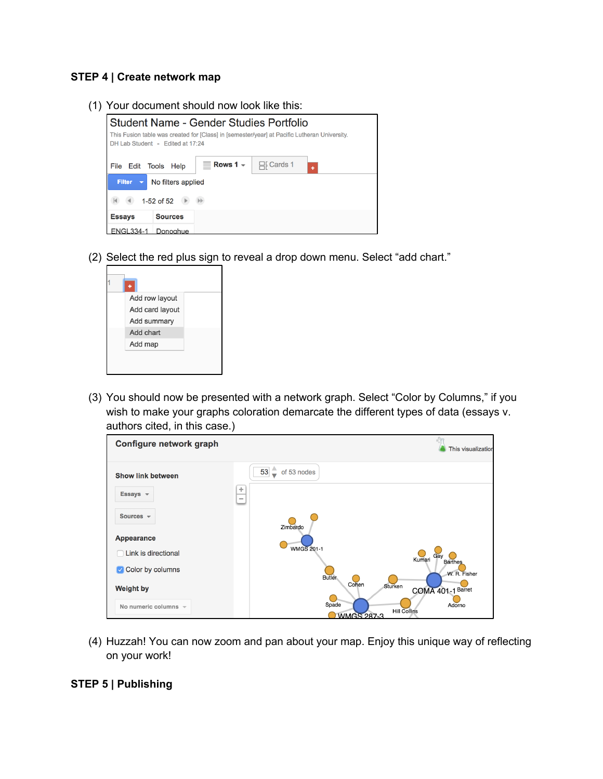#### **STEP 4 | Create network map**

(1) Your document should now look like this:



(2) Select the red plus sign to reveal a drop down menu. Select "add chart."



(3) You should now be presented with a network graph. Select "Color by Columns," if you wish to make your graphs coloration demarcate the different types of data (essays v. authors cited, in this case.)

| Configure network graph   |                                                             | This visualization |
|---------------------------|-------------------------------------------------------------|--------------------|
| <b>Show link between</b>  | 53<br>of 53 nodes<br>پ                                      |                    |
| Essays $\sqrt{ }$         | ÷<br>$\qquad \qquad \blacksquare$                           |                    |
| Sources $\sqrt{ }$        | Zimbardo                                                    |                    |
| <b>Appearance</b>         |                                                             |                    |
| Link is directional       | <b>WMGS 201-1</b><br>Gay<br>Kumari                          |                    |
| Color by columns          | <b>Barthes</b><br>W. R. Fisher<br><b>Butler</b>             |                    |
| <b>Weight by</b>          | Cohen<br>Sturken<br>COMA 401-1 Barret                       |                    |
| No numeric columns $\sim$ | Spade<br>Adorno<br><b>Hill Collins</b><br><b>WMGS 287-3</b> |                    |

(4) Huzzah! You can now zoom and pan about your map. Enjoy this unique way of reflecting on your work!

#### **STEP 5 | Publishing**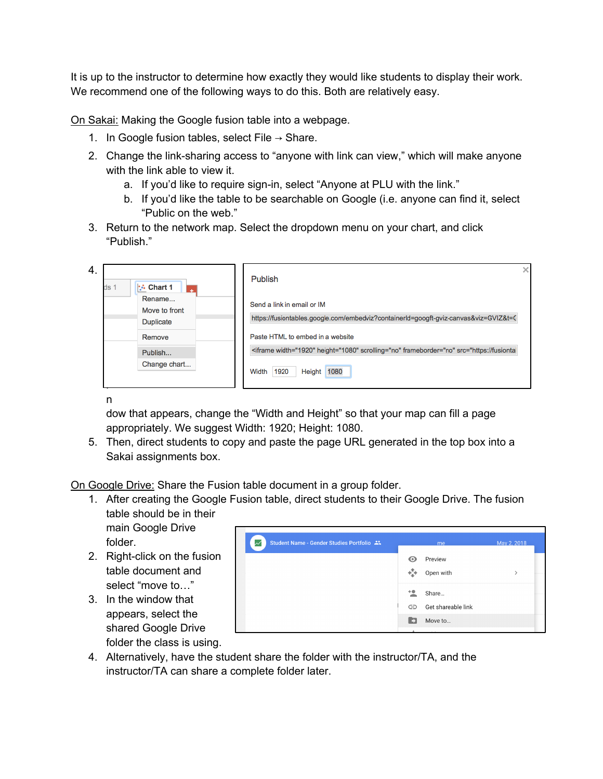It is up to the instructor to determine how exactly they would like students to display their work. We recommend one of the following ways to do this. Both are relatively easy.

On Sakai: Making the Google fusion table into a webpage.

- 1. In Google fusion tables, select File  $\rightarrow$  Share.
- 2. Change the link-sharing access to "anyone with link can view," which will make anyone with the link able to view it.
	- a. If you'd like to require sign-in, select "Anyone at PLU with the link."
	- b. If you'd like the table to be searchable on Google (i.e. anyone can find it, select "Public on the web."
- 3. Return to the network map. Select the dropdown menu on your chart, and click "Publish."

| 4. | $\mathbf{R}$ Chart 1<br>ds 1 | Publish                                                                                       |
|----|------------------------------|-----------------------------------------------------------------------------------------------|
|    | Rename<br>Move to front      | Send a link in email or IM                                                                    |
|    | <b>Duplicate</b>             | https://fusiontables.google.com/embedviz?containerId=googft-gviz-canvas&viz=GVIZ&t=C          |
|    | Remove                       | Paste HTML to embed in a website                                                              |
|    | Publish                      | <iframe width="1920" height="1080" scrolling="no" frameborder="no" src="https://fusionta</td> |
|    | Change chart                 | 1080<br>1920<br><b>Height</b><br>Width                                                        |
|    |                              |                                                                                               |

n

dow that appears, change the "Width and Height" so that your map can fill a page appropriately. We suggest Width: 1920; Height: 1080.

5. Then, direct students to copy and paste the page URL generated in the top box into a Sakai assignments box.

On Google Drive: Share the Fusion table document in a group folder.

- 1. After creating the Google Fusion table, direct students to their Google Drive. The fusion table should be in their
	- main Google Drive folder.
- 2. Right-click on the fusion table document and select "move to…"
- 3. In the window that appears, select the shared Google Drive folder the class is using.



4. Alternatively, have the student share the folder with the instructor/TA, and the instructor/TA can share a complete folder later.